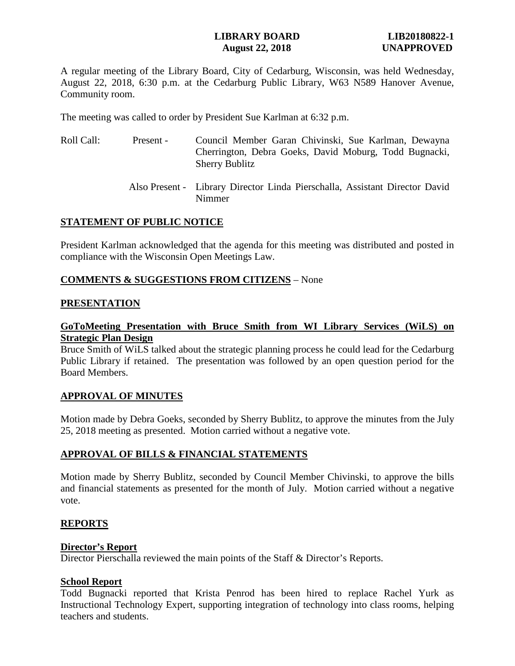# **LIBRARY BOARD LIB20180822-1 August 22, 2018 UNAPPROVED**

A regular meeting of the Library Board, City of Cedarburg, Wisconsin, was held Wednesday, August 22, 2018, 6:30 p.m. at the Cedarburg Public Library, W63 N589 Hanover Avenue, Community room.

The meeting was called to order by President Sue Karlman at 6:32 p.m.

| Roll Call: | Present - | Council Member Garan Chivinski, Sue Karlman, Dewayna<br>Cherrington, Debra Goeks, David Moburg, Todd Bugnacki, |
|------------|-----------|----------------------------------------------------------------------------------------------------------------|
|            |           | <b>Sherry Bublitz</b>                                                                                          |
|            |           |                                                                                                                |

 Also Present - Library Director Linda Pierschalla, Assistant Director David Nimmer

# **STATEMENT OF PUBLIC NOTICE**

President Karlman acknowledged that the agenda for this meeting was distributed and posted in compliance with the Wisconsin Open Meetings Law.

# **COMMENTS & SUGGESTIONS FROM CITIZENS** – None

### **PRESENTATION**

# **GoToMeeting Presentation with Bruce Smith from WI Library Services (WiLS) on Strategic Plan Design**

Bruce Smith of WiLS talked about the strategic planning process he could lead for the Cedarburg Public Library if retained. The presentation was followed by an open question period for the Board Members.

## **APPROVAL OF MINUTES**

Motion made by Debra Goeks, seconded by Sherry Bublitz, to approve the minutes from the July 25, 2018 meeting as presented. Motion carried without a negative vote.

## **APPROVAL OF BILLS & FINANCIAL STATEMENTS**

Motion made by Sherry Bublitz, seconded by Council Member Chivinski, to approve the bills and financial statements as presented for the month of July. Motion carried without a negative vote.

## **REPORTS**

## **Director's Report**

Director Pierschalla reviewed the main points of the Staff & Director's Reports.

## **School Report**

Todd Bugnacki reported that Krista Penrod has been hired to replace Rachel Yurk as Instructional Technology Expert, supporting integration of technology into class rooms, helping teachers and students.